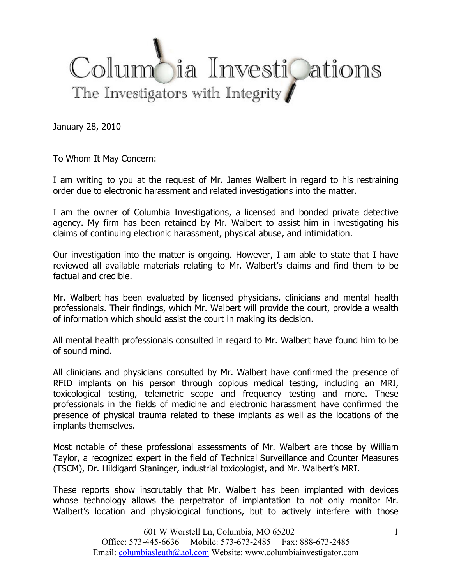## Columbia InvestiQations The Investigators with Integrity

January 28, 2010

To Whom It May Concern:

I am writing to you at the request of Mr. James Walbert in regard to his restraining order due to electronic harassment and related investigations into the matter.

I am the owner of Columbia Investigations, a licensed and bonded private detective agency. My firm has been retained by Mr. Walbert to assist him in investigating his claims of continuing electronic harassment, physical abuse, and intimidation.

Our investigation into the matter is ongoing. However, I am able to state that I have reviewed all available materials relating to Mr. Walbert's claims and find them to be factual and credible.

Mr. Walbert has been evaluated by licensed physicians, clinicians and mental health professionals. Their findings, which Mr. Walbert will provide the court, provide a wealth of information which should assist the court in making its decision.

All mental health professionals consulted in regard to Mr. Walbert have found him to be of sound mind.

All clinicians and physicians consulted by Mr. Walbert have confirmed the presence of RFID implants on his person through copious medical testing, including an MRI, toxicological testing, telemetric scope and frequency testing and more. These professionals in the fields of medicine and electronic harassment have confirmed the presence of physical trauma related to these implants as well as the locations of the implants themselves.

Most notable of these professional assessments of Mr. Walbert are those by William Taylor, a recognized expert in the field of Technical Surveillance and Counter Measures (TSCM), Dr. Hildigard Staninger, industrial toxicologist, and Mr. Walbert's MRI.

These reports show inscrutably that Mr. Walbert has been implanted with devices whose technology allows the perpetrator of implantation to not only monitor Mr. Walbert's location and physiological functions, but to actively interfere with those